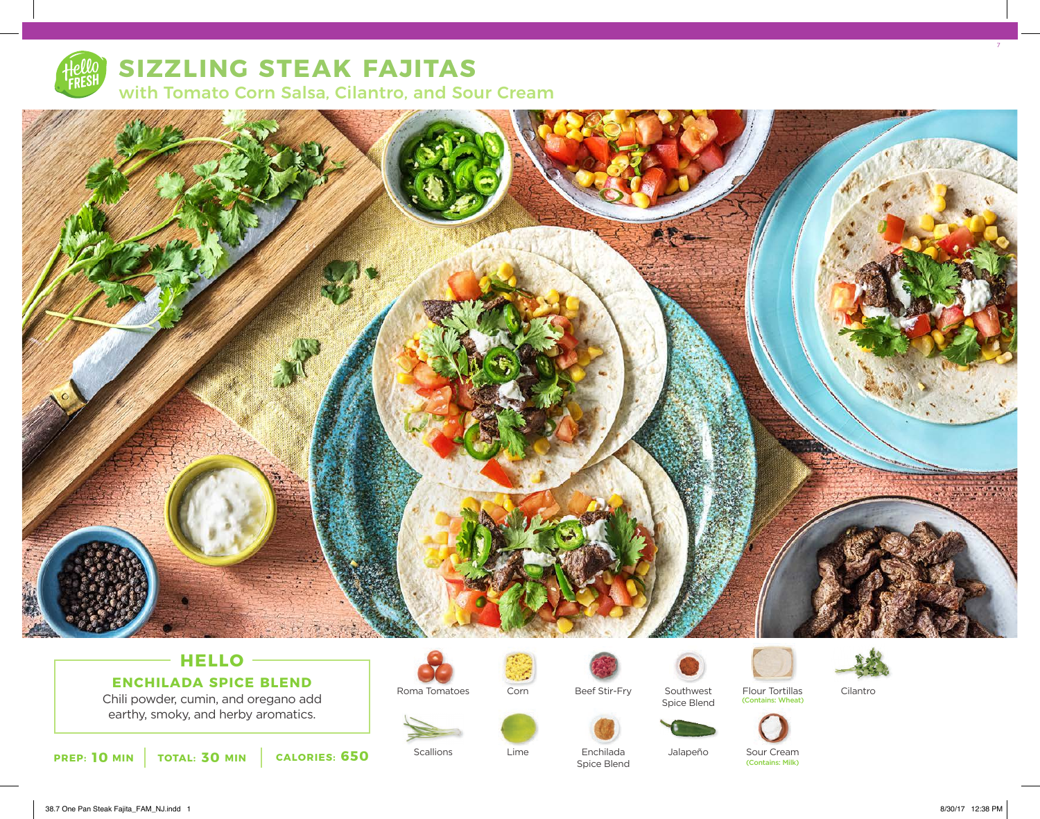

# **SIZZLING STEAK FAJITAS** with Tomato Corn Salsa, Cilantro, and Sour Cream



## **HELLO ENCHILADA SPICE BLEND**

Chili powder, cumin, and oregano add earthy, smoky, and herby aromatics.





**Scallions** 







Beef Stir-Fry

Enchilada Spice Blend

Lime

Corn

Southwest

Spice Blend







Jalapeño

Sour Cream<br>(Contains: Milk)

7